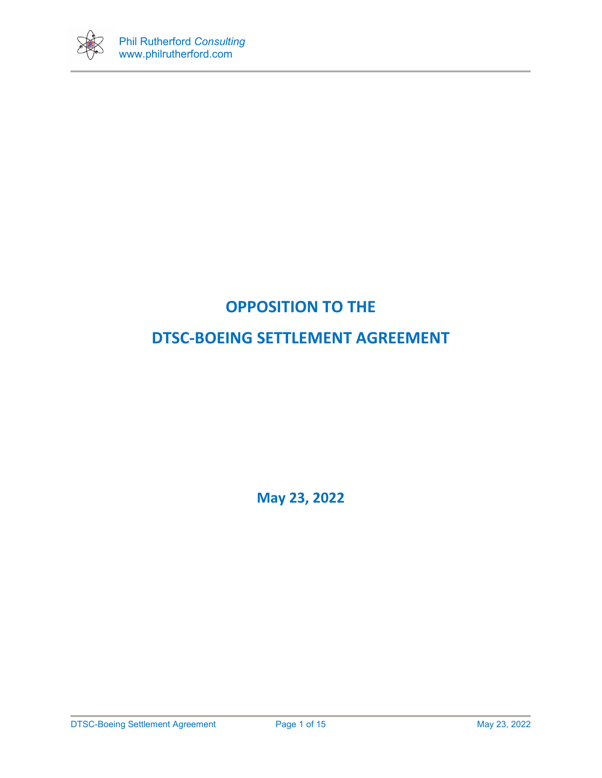

# **OPPOSITION TO THE**

# **DTSC-BOEING SETTLEMENT AGREEMENT**

**May 23, 2022**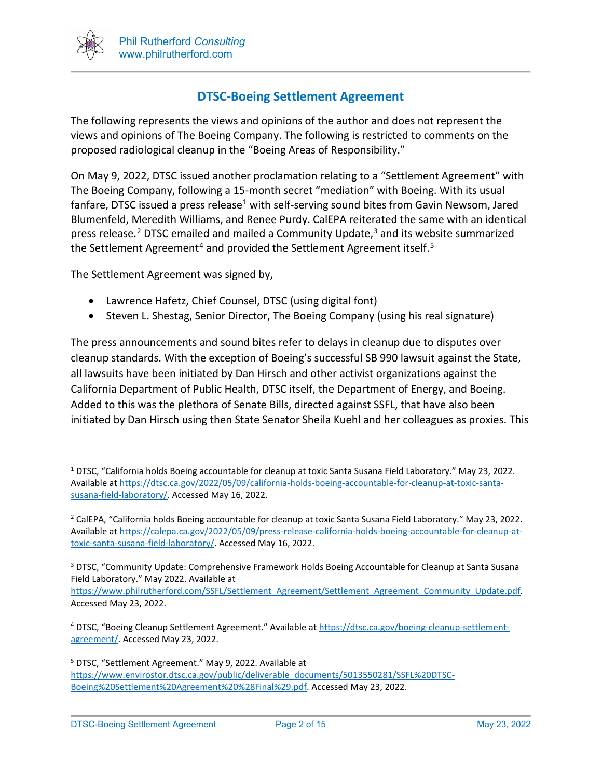

# **DTSC-Boeing Settlement Agreement**

The following represents the views and opinions of the author and does not represent the views and opinions of The Boeing Company. The following is restricted to comments on the proposed radiological cleanup in the "Boeing Areas of Responsibility."

On May 9, 2022, DTSC issued another proclamation relating to a "Settlement Agreement" with The Boeing Company, following a 15-month secret "mediation" with Boeing. With its usual fanfare, DTSC issued a press release<sup>[1](#page-1-0)</sup> with self-serving sound bites from Gavin Newsom, Jared Blumenfeld, Meredith Williams, and Renee Purdy. CalEPA reiterated the same with an identical press release.<sup>[2](#page-1-1)</sup> DTSC emailed and mailed a Community Update, $3$  and its website summarized the Settlement Agreement<sup>[4](#page-1-3)</sup> and provided the Settlement Agreement itself.<sup>5</sup>

The Settlement Agreement was signed by,

- Lawrence Hafetz, Chief Counsel, DTSC (using digital font)
- Steven L. Shestag, Senior Director, The Boeing Company (using his real signature)

The press announcements and sound bites refer to delays in cleanup due to disputes over cleanup standards. With the exception of Boeing's successful SB 990 lawsuit against the State, all lawsuits have been initiated by Dan Hirsch and other activist organizations against the California Department of Public Health, DTSC itself, the Department of Energy, and Boeing. Added to this was the plethora of Senate Bills, directed against SSFL, that have also been initiated by Dan Hirsch using then State Senator Sheila Kuehl and her colleagues as proxies. This

<span id="page-1-0"></span><sup>1</sup> DTSC, "California holds Boeing accountable for cleanup at toxic Santa Susana Field Laboratory." May 23, 2022. Available a[t https://dtsc.ca.gov/2022/05/09/california-holds-boeing-accountable-for-cleanup-at-toxic-santa](https://dtsc.ca.gov/2022/05/09/california-holds-boeing-accountable-for-cleanup-at-toxic-santa-susana-field-laboratory/)[susana-field-laboratory/.](https://dtsc.ca.gov/2022/05/09/california-holds-boeing-accountable-for-cleanup-at-toxic-santa-susana-field-laboratory/) Accessed May 16, 2022.

<span id="page-1-1"></span><sup>2</sup> CalEPA, "California holds Boeing accountable for cleanup at toxic Santa Susana Field Laboratory." May 23, 2022. Available at [https://calepa.ca.gov/2022/05/09/press-release-california-holds-boeing-accountable-for-cleanup-at](https://calepa.ca.gov/2022/05/09/press-release-california-holds-boeing-accountable-for-cleanup-at-toxic-santa-susana-field-laboratory/)[toxic-santa-susana-field-laboratory/.](https://calepa.ca.gov/2022/05/09/press-release-california-holds-boeing-accountable-for-cleanup-at-toxic-santa-susana-field-laboratory/) Accessed May 16, 2022.

<span id="page-1-2"></span><sup>&</sup>lt;sup>3</sup> DTSC, "Community Update: Comprehensive Framework Holds Boeing Accountable for Cleanup at Santa Susana Field Laboratory." May 2022. Available at

https://www.philrutherford.com/SSFL/Settlement\_Agreement/Settlement\_Agreement\_Community\_Update.pdf. Accessed May 23, 2022.

<span id="page-1-3"></span><sup>4</sup> DTSC, "Boeing Cleanup Settlement Agreement." Available a[t https://dtsc.ca.gov/boeing-cleanup-settlement](https://dtsc.ca.gov/boeing-cleanup-settlement-agreement/)[agreement/.](https://dtsc.ca.gov/boeing-cleanup-settlement-agreement/) Accessed May 23, 2022.

<span id="page-1-4"></span><sup>5</sup> DTSC, "Settlement Agreement." May 9, 2022. Available at [https://www.envirostor.dtsc.ca.gov/public/deliverable\\_documents/5013550281/SSFL%20DTSC-](https://www.envirostor.dtsc.ca.gov/public/deliverable_documents/5013550281/SSFL%20DTSC-Boeing%20Settlement%20Agreement%20%28Final%29.pdf)[Boeing%20Settlement%20Agreement%20%28Final%29.pdf.](https://www.envirostor.dtsc.ca.gov/public/deliverable_documents/5013550281/SSFL%20DTSC-Boeing%20Settlement%20Agreement%20%28Final%29.pdf) Accessed May 23, 2022.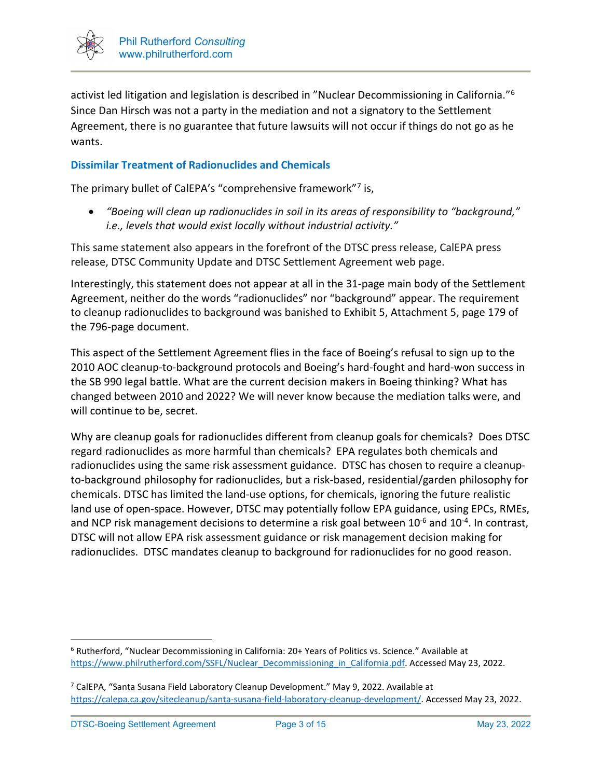

activist led litigation and legislation is described in "Nuclear Decommissioning in California."[6](#page-2-0) Since Dan Hirsch was not a party in the mediation and not a signatory to the Settlement Agreement, there is no guarantee that future lawsuits will not occur if things do not go as he wants.

### **Dissimilar Treatment of Radionuclides and Chemicals**

The primary bullet of CalEPA's "comprehensive framework"[7](#page-2-1) is,

• *"Boeing will clean up radionuclides in soil in its areas of responsibility to "background," i.e., levels that would exist locally without industrial activity."* 

This same statement also appears in the forefront of the DTSC press release, CalEPA press release, DTSC Community Update and DTSC Settlement Agreement web page.

Interestingly, this statement does not appear at all in the 31-page main body of the Settlement Agreement, neither do the words "radionuclides" nor "background" appear. The requirement to cleanup radionuclides to background was banished to Exhibit 5, Attachment 5, page 179 of the 796-page document.

This aspect of the Settlement Agreement flies in the face of Boeing's refusal to sign up to the 2010 AOC cleanup-to-background protocols and Boeing's hard-fought and hard-won success in the SB 990 legal battle. What are the current decision makers in Boeing thinking? What has changed between 2010 and 2022? We will never know because the mediation talks were, and will continue to be, secret.

Why are cleanup goals for radionuclides different from cleanup goals for chemicals? Does DTSC regard radionuclides as more harmful than chemicals? EPA regulates both chemicals and radionuclides using the same risk assessment guidance. DTSC has chosen to require a cleanupto-background philosophy for radionuclides, but a risk-based, residential/garden philosophy for chemicals. DTSC has limited the land-use options, for chemicals, ignoring the future realistic land use of open-space. However, DTSC may potentially follow EPA guidance, using EPCs, RMEs, and NCP risk management decisions to determine a risk goal between  $10^{-6}$  and  $10^{-4}$ . In contrast, DTSC will not allow EPA risk assessment guidance or risk management decision making for radionuclides. DTSC mandates cleanup to background for radionuclides for no good reason.

<span id="page-2-0"></span><sup>6</sup> Rutherford, "Nuclear Decommissioning in California: 20+ Years of Politics vs. Science." Available at [https://www.philrutherford.com/SSFL/Nuclear\\_Decommissioning\\_in\\_California.pdf.](https://www.philrutherford.com/SSFL/Nuclear_Decommissioning_in_California.pdf) Accessed May 23, 2022.

<span id="page-2-1"></span> $7$  CalEPA, "Santa Susana Field Laboratory Cleanup Development." May 9, 2022. Available at [https://calepa.ca.gov/sitecleanup/santa-susana-field-laboratory-cleanup-development/.](https://calepa.ca.gov/sitecleanup/santa-susana-field-laboratory-cleanup-development/) Accessed May 23, 2022.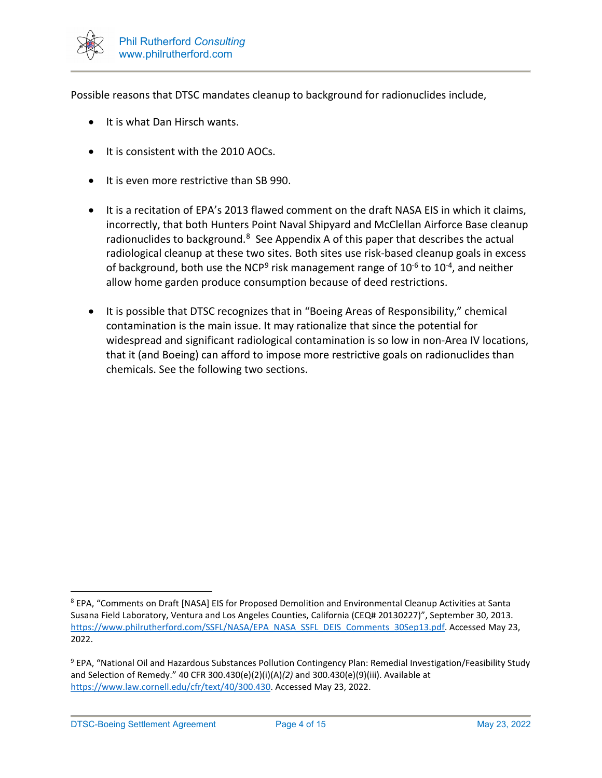

Possible reasons that DTSC mandates cleanup to background for radionuclides include,

- It is what Dan Hirsch wants.
- It is consistent with the 2010 AOCs.
- It is even more restrictive than SB 990.
- It is a recitation of EPA's 2013 flawed comment on the draft NASA EIS in which it claims, incorrectly, that both Hunters Point Naval Shipyard and McClellan Airforce Base cleanup radionuclides to background.<sup>8</sup> See Appendix A of this paper that describes the actual radiological cleanup at these two sites. Both sites use risk-based cleanup goals in excess of background, both use the NCP<sup>[9](#page-3-1)</sup> risk management range of  $10^{-6}$  to  $10^{-4}$ , and neither allow home garden produce consumption because of deed restrictions.
- It is possible that DTSC recognizes that in "Boeing Areas of Responsibility," chemical contamination is the main issue. It may rationalize that since the potential for widespread and significant radiological contamination is so low in non-Area IV locations, that it (and Boeing) can afford to impose more restrictive goals on radionuclides than chemicals. See the following two sections.

<span id="page-3-0"></span><sup>8</sup> EPA, "Comments on Draft [NASA] EIS for Proposed Demolition and Environmental Cleanup Activities at Santa Susana Field Laboratory, Ventura and Los Angeles Counties, California (CEQ# 20130227)", September 30, 2013. [https://www.philrutherford.com/SSFL/NASA/EPA\\_NASA\\_SSFL\\_DEIS\\_Comments\\_30Sep13.pdf.](https://www.philrutherford.com/SSFL/NASA/EPA_NASA_SSFL_DEIS_Comments_30Sep13.pdf) Accessed May 23, 2022.

<span id="page-3-1"></span><sup>&</sup>lt;sup>9</sup> EPA, "National Oil and Hazardous Substances Pollution Contingency Plan: Remedial Investigation/Feasibility Study and Selection of Remedy." 40 CFR 300.430(e)(2)(i)(A)*(2)* and 300.430(e)(9)(iii). Available at [https://www.law.cornell.edu/cfr/text/40/300.430.](https://www.law.cornell.edu/cfr/text/40/300.430) Accessed May 23, 2022.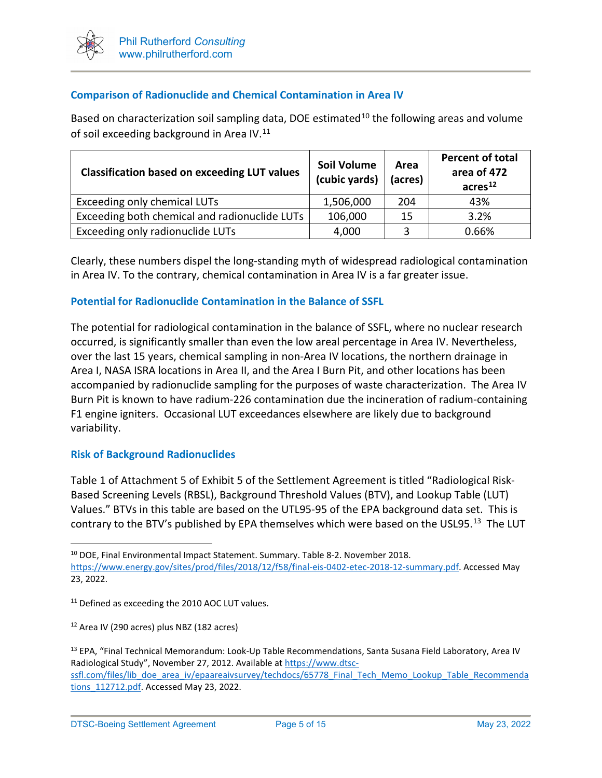

## **Comparison of Radionuclide and Chemical Contamination in Area IV**

Based on characterization soil sampling data, DOE estimated<sup>[10](#page-4-0)</sup> the following areas and volume of soil exceeding background in Area IV.<sup>[11](#page-4-1)</sup>

| <b>Classification based on exceeding LUT values</b> | <b>Soil Volume</b><br>(cubic yards) | Area<br>(acres) | <b>Percent of total</b><br>area of 472<br>acres <sup>12</sup> |  |
|-----------------------------------------------------|-------------------------------------|-----------------|---------------------------------------------------------------|--|
| Exceeding only chemical LUTs                        | 1,506,000                           | 204             | 43%                                                           |  |
| Exceeding both chemical and radionuclide LUTs       | 106,000                             | -15             | 3.2%                                                          |  |
| Exceeding only radionuclide LUTs                    | 4,000                               | 3               | 0.66%                                                         |  |

Clearly, these numbers dispel the long-standing myth of widespread radiological contamination in Area IV. To the contrary, chemical contamination in Area IV is a far greater issue.

### **Potential for Radionuclide Contamination in the Balance of SSFL**

The potential for radiological contamination in the balance of SSFL, where no nuclear research occurred, is significantly smaller than even the low areal percentage in Area IV. Nevertheless, over the last 15 years, chemical sampling in non-Area IV locations, the northern drainage in Area I, NASA ISRA locations in Area II, and the Area I Burn Pit, and other locations has been accompanied by radionuclide sampling for the purposes of waste characterization. The Area IV Burn Pit is known to have radium-226 contamination due the incineration of radium-containing F1 engine igniters. Occasional LUT exceedances elsewhere are likely due to background variability.

### **Risk of Background Radionuclides**

Table 1 of Attachment 5 of Exhibit 5 of the Settlement Agreement is titled "Radiological Risk-Based Screening Levels (RBSL), Background Threshold Values (BTV), and Lookup Table (LUT) Values." BTVs in this table are based on the UTL95-95 of the EPA background data set. This is contrary to the BTV's published by EPA themselves which were based on the USL95.<sup>13</sup> The LUT

<span id="page-4-0"></span><sup>10</sup> DOE, Final Environmental Impact Statement. Summary. Table 8-2. November 2018.

[https://www.energy.gov/sites/prod/files/2018/12/f58/final-eis-0402-etec-2018-12-summary.pdf.](https://www.energy.gov/sites/prod/files/2018/12/f58/final-eis-0402-etec-2018-12-summary.pdf) Accessed May 23, 2022.

<span id="page-4-1"></span><sup>&</sup>lt;sup>11</sup> Defined as exceeding the 2010 AOC LUT values.

<span id="page-4-2"></span><sup>12</sup> Area IV (290 acres) plus NBZ (182 acres)

<span id="page-4-3"></span><sup>&</sup>lt;sup>13</sup> EPA, "Final Technical Memorandum: Look-Up Table Recommendations, Santa Susana Field Laboratory, Area IV Radiological Study", November 27, 2012. Available at [https://www.dtsc](https://www.dtsc-ssfl.com/files/lib_doe_area_iv/epaareaivsurvey/techdocs/65778_Final_Tech_Memo_Lookup_Table_Recommendations_112712.pdf)[ssfl.com/files/lib\\_doe\\_area\\_iv/epaareaivsurvey/techdocs/65778\\_Final\\_Tech\\_Memo\\_Lookup\\_Table\\_Recommenda](https://www.dtsc-ssfl.com/files/lib_doe_area_iv/epaareaivsurvey/techdocs/65778_Final_Tech_Memo_Lookup_Table_Recommendations_112712.pdf) [tions\\_112712.pdf.](https://www.dtsc-ssfl.com/files/lib_doe_area_iv/epaareaivsurvey/techdocs/65778_Final_Tech_Memo_Lookup_Table_Recommendations_112712.pdf) Accessed May 23, 2022.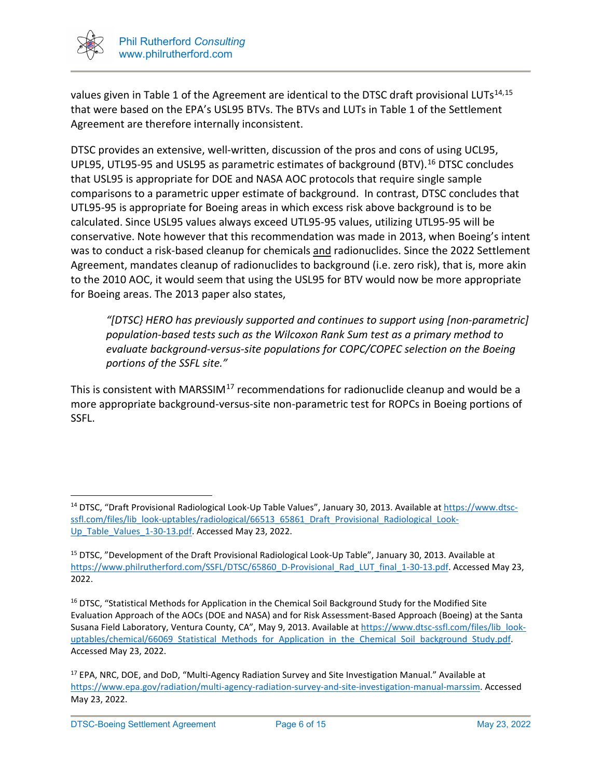

values given in Table 1 of the Agreement are identical to the DTSC draft provisional LUTs<sup>[14](#page-5-0),[15](#page-5-1)</sup> that were based on the EPA's USL95 BTVs. The BTVs and LUTs in Table 1 of the Settlement Agreement are therefore internally inconsistent.

DTSC provides an extensive, well-written, discussion of the pros and cons of using UCL95, UPL95, UTL95-95 and USL95 as parametric estimates of background (BTV).<sup>[16](#page-5-2)</sup> DTSC concludes that USL95 is appropriate for DOE and NASA AOC protocols that require single sample comparisons to a parametric upper estimate of background. In contrast, DTSC concludes that UTL95-95 is appropriate for Boeing areas in which excess risk above background is to be calculated. Since USL95 values always exceed UTL95-95 values, utilizing UTL95-95 will be conservative. Note however that this recommendation was made in 2013, when Boeing's intent was to conduct a risk-based cleanup for chemicals and radionuclides. Since the 2022 Settlement Agreement, mandates cleanup of radionuclides to background (i.e. zero risk), that is, more akin to the 2010 AOC, it would seem that using the USL95 for BTV would now be more appropriate for Boeing areas. The 2013 paper also states,

*"[DTSC} HERO has previously supported and continues to support using [non-parametric] population-based tests such as the Wilcoxon Rank Sum test as a primary method to evaluate background-versus-site populations for COPC/COPEC selection on the Boeing portions of the SSFL site."*

This is consistent with MARSSIM<sup>[17](#page-5-3)</sup> recommendations for radionuclide cleanup and would be a more appropriate background-versus-site non-parametric test for ROPCs in Boeing portions of SSFL.

<span id="page-5-0"></span><sup>&</sup>lt;sup>14</sup> DTSC, "Draft Provisional Radiological Look-Up Table Values", January 30, 2013. Available a[t https://www.dtsc](https://www.dtsc-ssfl.com/files/lib_look-uptables/radiological/66513_65861_Draft_Provisional_Radiological_Look-Up_Table_Values_1-30-13.pdf)[ssfl.com/files/lib\\_look-uptables/radiological/66513\\_65861\\_Draft\\_Provisional\\_Radiological\\_Look-](https://www.dtsc-ssfl.com/files/lib_look-uptables/radiological/66513_65861_Draft_Provisional_Radiological_Look-Up_Table_Values_1-30-13.pdf)[Up\\_Table\\_Values\\_1-30-13.pdf.](https://www.dtsc-ssfl.com/files/lib_look-uptables/radiological/66513_65861_Draft_Provisional_Radiological_Look-Up_Table_Values_1-30-13.pdf) Accessed May 23, 2022.

<span id="page-5-1"></span><sup>15</sup> DTSC, "Development of the Draft Provisional Radiological Look-Up Table", January 30, 2013. Available at [https://www.philrutherford.com/SSFL/DTSC/65860\\_D-Provisional\\_Rad\\_LUT\\_final\\_1-30-13.pdf.](https://www.philrutherford.com/SSFL/DTSC/65860_D-Provisional_Rad_LUT_final_1-30-13.pdf) Accessed May 23, 2022.

<span id="page-5-2"></span><sup>&</sup>lt;sup>16</sup> DTSC, "Statistical Methods for Application in the Chemical Soil Background Study for the Modified Site Evaluation Approach of the AOCs (DOE and NASA) and for Risk Assessment-Based Approach (Boeing) at the Santa Susana Field Laboratory, Ventura County, CA", May 9, 2013. Available a[t https://www.dtsc-ssfl.com/files/lib\\_look](https://www.dtsc-ssfl.com/files/lib_look-uptables/chemical/66069_Statistical_Methods_for_Application_in_the_Chemical_Soil_background_Study.pdf)uptables/chemical/66069 Statistical Methods for Application in the Chemical Soil background Study.pdf. Accessed May 23, 2022.

<span id="page-5-3"></span><sup>&</sup>lt;sup>17</sup> EPA, NRC, DOE, and DoD, "Multi-Agency Radiation Survey and Site Investigation Manual." Available at [https://www.epa.gov/radiation/multi-agency-radiation-survey-and-site-investigation-manual-marssim.](https://www.epa.gov/radiation/multi-agency-radiation-survey-and-site-investigation-manual-marssim) Accessed May 23, 2022.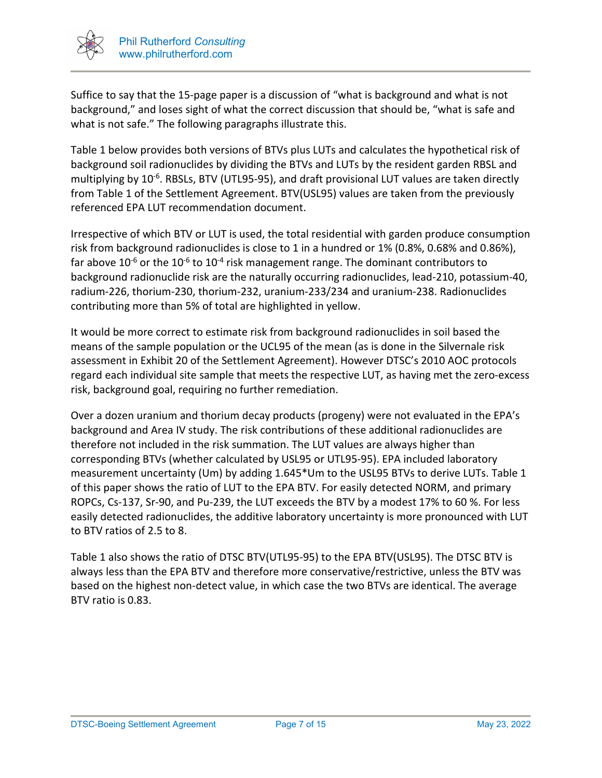

Suffice to say that the 15-page paper is a discussion of "what is background and what is not background," and loses sight of what the correct discussion that should be, "what is safe and what is not safe." The following paragraphs illustrate this.

Table 1 below provides both versions of BTVs plus LUTs and calculates the hypothetical risk of background soil radionuclides by dividing the BTVs and LUTs by the resident garden RBSL and multiplying by  $10^{-6}$ . RBSLs, BTV (UTL95-95), and draft provisional LUT values are taken directly from Table 1 of the Settlement Agreement. BTV(USL95) values are taken from the previously referenced EPA LUT recommendation document.

Irrespective of which BTV or LUT is used, the total residential with garden produce consumption risk from background radionuclides is close to 1 in a hundred or 1% (0.8%, 0.68% and 0.86%), far above  $10^{-6}$  or the  $10^{-6}$  to  $10^{-4}$  risk management range. The dominant contributors to background radionuclide risk are the naturally occurring radionuclides, lead-210, potassium-40, radium-226, thorium-230, thorium-232, uranium-233/234 and uranium-238. Radionuclides contributing more than 5% of total are highlighted in yellow.

It would be more correct to estimate risk from background radionuclides in soil based the means of the sample population or the UCL95 of the mean (as is done in the Silvernale risk assessment in Exhibit 20 of the Settlement Agreement). However DTSC's 2010 AOC protocols regard each individual site sample that meets the respective LUT, as having met the zero-excess risk, background goal, requiring no further remediation.

Over a dozen uranium and thorium decay products (progeny) were not evaluated in the EPA's background and Area IV study. The risk contributions of these additional radionuclides are therefore not included in the risk summation. The LUT values are always higher than corresponding BTVs (whether calculated by USL95 or UTL95-95). EPA included laboratory measurement uncertainty (Um) by adding 1.645\*Um to the USL95 BTVs to derive LUTs. Table 1 of this paper shows the ratio of LUT to the EPA BTV. For easily detected NORM, and primary ROPCs, Cs-137, Sr-90, and Pu-239, the LUT exceeds the BTV by a modest 17% to 60 %. For less easily detected radionuclides, the additive laboratory uncertainty is more pronounced with LUT to BTV ratios of 2.5 to 8.

Table 1 also shows the ratio of DTSC BTV(UTL95-95) to the EPA BTV(USL95). The DTSC BTV is always less than the EPA BTV and therefore more conservative/restrictive, unless the BTV was based on the highest non-detect value, in which case the two BTVs are identical. The average BTV ratio is 0.83.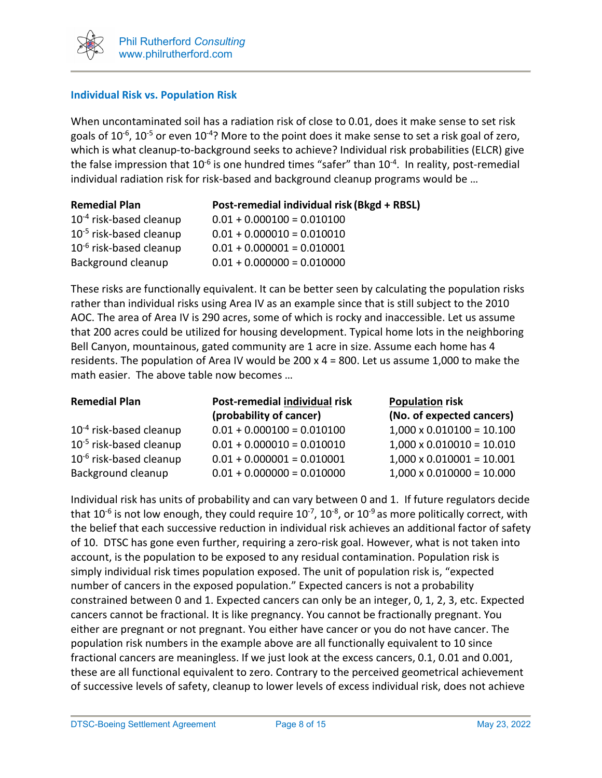

## **Individual Risk vs. Population Risk**

When uncontaminated soil has a radiation risk of close to 0.01, does it make sense to set risk goals of  $10^{-6}$ ,  $10^{-5}$  or even  $10^{-4}$ ? More to the point does it make sense to set a risk goal of zero, which is what cleanup-to-background seeks to achieve? Individual risk probabilities (ELCR) give the false impression that  $10^{-6}$  is one hundred times "safer" than  $10^{-4}$ . In reality, post-remedial individual radiation risk for risk-based and background cleanup programs would be …

| <b>Remedial Plan</b>         | Post-remedial individual risk (Bkgd + RBSL) |
|------------------------------|---------------------------------------------|
| $10^{-4}$ risk-based cleanup | $0.01 + 0.000100 = 0.010100$                |
| $10^{-5}$ risk-based cleanup | $0.01 + 0.000010 = 0.010010$                |
| $10^{-6}$ risk-based cleanup | $0.01 + 0.000001 = 0.010001$                |
| Background cleanup           | $0.01 + 0.000000 = 0.010000$                |

These risks are functionally equivalent. It can be better seen by calculating the population risks rather than individual risks using Area IV as an example since that is still subject to the 2010 AOC. The area of Area IV is 290 acres, some of which is rocky and inaccessible. Let us assume that 200 acres could be utilized for housing development. Typical home lots in the neighboring Bell Canyon, mountainous, gated community are 1 acre in size. Assume each home has 4 residents. The population of Area IV would be 200 x 4 = 800. Let us assume 1,000 to make the math easier. The above table now becomes …

| <b>Remedial Plan</b>                | Post-remedial individual risk | <b>Population risk</b>           |  |  |  |  |
|-------------------------------------|-------------------------------|----------------------------------|--|--|--|--|
|                                     | (probability of cancer)       | (No. of expected cancers)        |  |  |  |  |
| $10^{-4}$ risk-based cleanup        | $0.01 + 0.000100 = 0.010100$  | $1,000 \times 0.010100 = 10.100$ |  |  |  |  |
| $10^{-5}$ risk-based cleanup        | $0.01 + 0.000010 = 0.010010$  | $1,000 \times 0.010010 = 10.010$ |  |  |  |  |
| 10 <sup>-6</sup> risk-based cleanup | $0.01 + 0.000001 = 0.010001$  | $1,000 \times 0.010001 = 10.001$ |  |  |  |  |
| Background cleanup                  | $0.01 + 0.000000 = 0.010000$  | $1,000 \times 0.010000 = 10.000$ |  |  |  |  |

Individual risk has units of probability and can vary between 0 and 1. If future regulators decide that  $10^{-6}$  is not low enough, they could require  $10^{-7}$ ,  $10^{-8}$ , or  $10^{-9}$  as more politically correct, with the belief that each successive reduction in individual risk achieves an additional factor of safety of 10. DTSC has gone even further, requiring a zero-risk goal. However, what is not taken into account, is the population to be exposed to any residual contamination. Population risk is simply individual risk times population exposed. The unit of population risk is, "expected number of cancers in the exposed population." Expected cancers is not a probability constrained between 0 and 1. Expected cancers can only be an integer, 0, 1, 2, 3, etc. Expected cancers cannot be fractional. It is like pregnancy. You cannot be fractionally pregnant. You either are pregnant or not pregnant. You either have cancer or you do not have cancer. The population risk numbers in the example above are all functionally equivalent to 10 since fractional cancers are meaningless. If we just look at the excess cancers, 0.1, 0.01 and 0.001, these are all functional equivalent to zero. Contrary to the perceived geometrical achievement of successive levels of safety, cleanup to lower levels of excess individual risk, does not achieve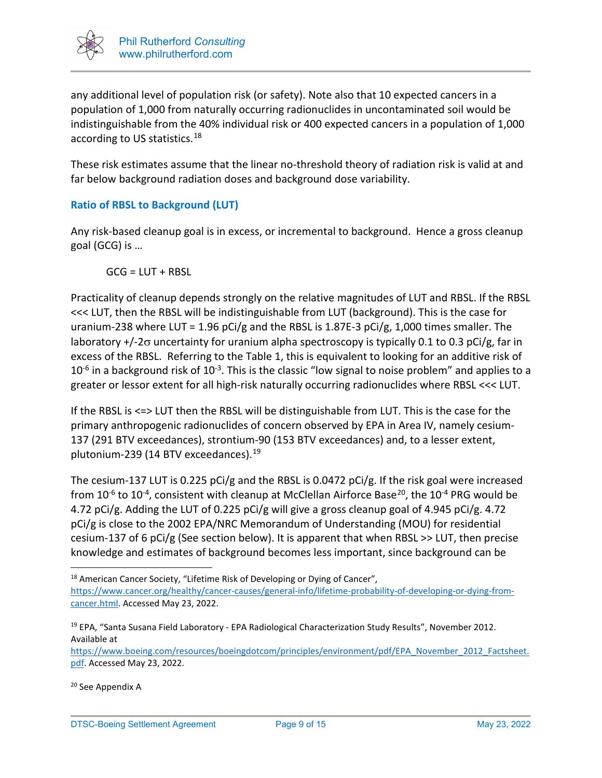

any additional level of population risk (or safety). Note also that 10 expected cancers in a population of 1,000 from naturally occurring radionuclides in uncontaminated soil would be indistinguishable from the 40% individual risk or 400 expected cancers in a population of 1,000 according to US statistics.<sup>[18](#page-8-0)</sup>

These risk estimates assume that the linear no-threshold theory of radiation risk is valid at and far below background radiation doses and background dose variability.

## **Ratio of RBSL to Background (LUT)**

Any risk-based cleanup goal is in excess, or incremental to background. Hence a gross cleanup goal (GCG) is …

 $GCG = LUT + RBSL$ 

Practicality of cleanup depends strongly on the relative magnitudes of LUT and RBSL. If the RBSL <<< LUT, then the RBSL will be indistinguishable from LUT (background). This is the case for uranium-238 where LUT = 1.96 pCi/g and the RBSL is 1.87E-3 pCi/g, 1,000 times smaller. The laboratory +/-2σ uncertainty for uranium alpha spectroscopy is typically 0.1 to 0.3 pCi/g, far in excess of the RBSL. Referring to the Table 1, this is equivalent to looking for an additive risk of  $10^{-6}$  in a background risk of  $10^{-3}$ . This is the classic "low signal to noise problem" and applies to a greater or lessor extent for all high-risk naturally occurring radionuclides where RBSL <<< LUT.

If the RBSL is <=> LUT then the RBSL will be distinguishable from LUT. This is the case for the primary anthropogenic radionuclides of concern observed by EPA in Area IV, namely cesium-137 (291 BTV exceedances), strontium-90 (153 BTV exceedances) and, to a lesser extent, plutonium-239 (14 BTV exceedances). $19$ 

The cesium-137 LUT is 0.225 pCi/g and the RBSL is 0.0472 pCi/g. If the risk goal were increased from  $10^{-6}$  to  $10^{-4}$ , consistent with cleanup at McClellan Airforce Base<sup>[20](#page-8-2)</sup>, the  $10^{-4}$  PRG would be 4.72 pCi/g. Adding the LUT of 0.225 pCi/g will give a gross cleanup goal of 4.945 pCi/g. 4.72 pCi/g is close to the 2002 EPA/NRC Memorandum of Understanding (MOU) for residential cesium-137 of 6 pCi/g (See section below). It is apparent that when RBSL >> LUT, then precise knowledge and estimates of background becomes less important, since background can be

<span id="page-8-0"></span><sup>&</sup>lt;sup>18</sup> American Cancer Society, "Lifetime Risk of Developing or Dying of Cancer", [https://www.cancer.org/healthy/cancer-causes/general-info/lifetime-probability-of-developing-or-dying-from](https://www.cancer.org/healthy/cancer-causes/general-info/lifetime-probability-of-developing-or-dying-from-cancer.html)[cancer.html.](https://www.cancer.org/healthy/cancer-causes/general-info/lifetime-probability-of-developing-or-dying-from-cancer.html) Accessed May 23, 2022.

<span id="page-8-1"></span><sup>&</sup>lt;sup>19</sup> EPA, "Santa Susana Field Laboratory - EPA Radiological Characterization Study Results", November 2012. Available at

[https://www.boeing.com/resources/boeingdotcom/principles/environment/pdf/EPA\\_November\\_2012\\_Factsheet.](https://www.boeing.com/resources/boeingdotcom/principles/environment/pdf/EPA_November_2012_Factsheet.pdf) [pdf.](https://www.boeing.com/resources/boeingdotcom/principles/environment/pdf/EPA_November_2012_Factsheet.pdf) Accessed May 23, 2022.

<span id="page-8-2"></span><sup>&</sup>lt;sup>20</sup> See Appendix A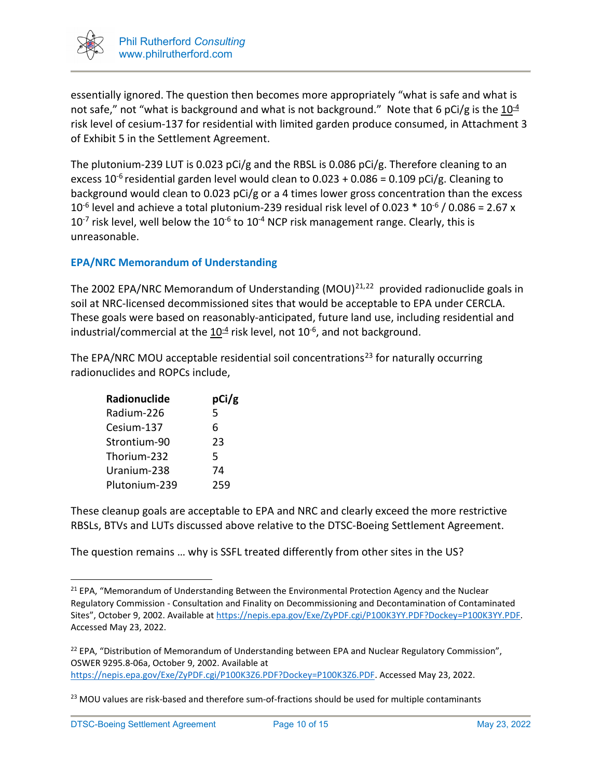

essentially ignored. The question then becomes more appropriately "what is safe and what is not safe," not "what is background and what is not background." Note that 6 pCi/g is the  $10^{-4}$ risk level of cesium-137 for residential with limited garden produce consumed, in Attachment 3 of Exhibit 5 in the Settlement Agreement.

The plutonium-239 LUT is 0.023 pCi/g and the RBSL is 0.086 pCi/g. Therefore cleaning to an excess 10<sup>-6</sup> residential garden level would clean to 0.023 + 0.086 = 0.109 pCi/g. Cleaning to background would clean to 0.023 pCi/g or a 4 times lower gross concentration than the excess  $10^{-6}$  level and achieve a total plutonium-239 residual risk level of 0.023  $*$  10<sup>-6</sup> / 0.086 = 2.67 x  $10^{-7}$  risk level, well below the  $10^{-6}$  to  $10^{-4}$  NCP risk management range. Clearly, this is unreasonable.

## **EPA/NRC Memorandum of Understanding**

The 2002 EPA/NRC Memorandum of Understanding  $(MOU)^{21,22}$  $(MOU)^{21,22}$  $(MOU)^{21,22}$  $(MOU)^{21,22}$  provided radionuclide goals in soil at NRC-licensed decommissioned sites that would be acceptable to EPA under CERCLA. These goals were based on reasonably-anticipated, future land use, including residential and industrial/commercial at the  $10^{-4}$  risk level, not 10<sup>-6</sup>, and not background.

The EPA/NRC MOU acceptable residential soil concentrations<sup>[23](#page-9-2)</sup> for naturally occurring radionuclides and ROPCs include,

| <b>Radionuclide</b> | pCi/g |  |  |  |
|---------------------|-------|--|--|--|
| Radium-226          | 5     |  |  |  |
| Cesium-137          | 6     |  |  |  |
| Strontium-90        | 23    |  |  |  |
| Thorium-232         | 5     |  |  |  |
| Uranium-238         | 74    |  |  |  |
| Plutonium-239       | 259   |  |  |  |

These cleanup goals are acceptable to EPA and NRC and clearly exceed the more restrictive RBSLs, BTVs and LUTs discussed above relative to the DTSC-Boeing Settlement Agreement.

The question remains … why is SSFL treated differently from other sites in the US?

<span id="page-9-0"></span><sup>&</sup>lt;sup>21</sup> EPA, "Memorandum of Understanding Between the Environmental Protection Agency and the Nuclear Regulatory Commission - Consultation and Finality on Decommissioning and Decontamination of Contaminated Sites", October 9, 2002. Available at [https://nepis.epa.gov/Exe/ZyPDF.cgi/P100K3YY.PDF?Dockey=P100K3YY.PDF.](https://nepis.epa.gov/Exe/ZyPDF.cgi/P100K3YY.PDF?Dockey=P100K3YY.PDF)  Accessed May 23, 2022.

<span id="page-9-1"></span><sup>&</sup>lt;sup>22</sup> EPA, "Distribution of Memorandum of Understanding between EPA and Nuclear Regulatory Commission", OSWER 9295.8-06a, October 9, 2002. Available at [https://nepis.epa.gov/Exe/ZyPDF.cgi/P100K3Z6.PDF?Dockey=P100K3Z6.PDF.](https://nepis.epa.gov/Exe/ZyPDF.cgi/P100K3Z6.PDF?Dockey=P100K3Z6.PDF) Accessed May 23, 2022.

<span id="page-9-2"></span> $23$  MOU values are risk-based and therefore sum-of-fractions should be used for multiple contaminants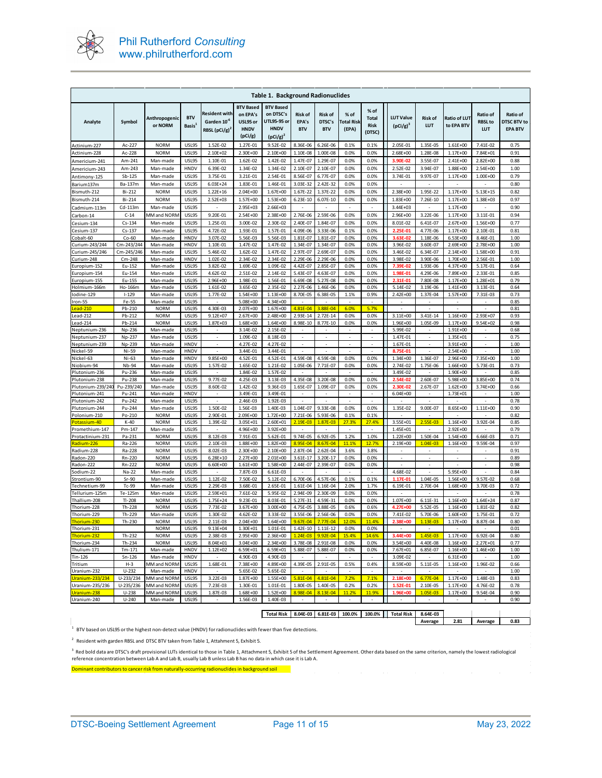

| <b>Table 1. Background Radionuclides</b> |                      |                            |                                  |                                                                       |                                                                    |                                                                                   |                                       |                                        |                                    |                                               |                                 |                                      |                                   |                                      |                                                  |
|------------------------------------------|----------------------|----------------------------|----------------------------------|-----------------------------------------------------------------------|--------------------------------------------------------------------|-----------------------------------------------------------------------------------|---------------------------------------|----------------------------------------|------------------------------------|-----------------------------------------------|---------------------------------|--------------------------------------|-----------------------------------|--------------------------------------|--------------------------------------------------|
| Analyte                                  | Symbol               | Anthropogenic<br>or NORM   | <b>BTV</b><br>Basis <sup>1</sup> | Resident with<br>Garden 10 <sup>-6</sup><br>RBSL (pCi/g) <sup>2</sup> | <b>BTV Based</b><br>on EPA's<br>USL95 or<br><b>HNDV</b><br>(pCi/g) | <b>BTV Based</b><br>on DTSC's<br><b>UTL95-95 or</b><br><b>HNDV</b><br>$(pCi/g)^2$ | <b>Risk of</b><br>EPA's<br><b>BTV</b> | <b>Risk of</b><br>DTSC's<br><b>BTV</b> | % of<br><b>Fotal Risk</b><br>(EPA) | % of<br><b>Total</b><br><b>Risk</b><br>(DTSC) | <b>LUT Value</b><br>$(pCi/g)^3$ | <b>Risk of</b><br>LUT                | <b>Ratio of LUT</b><br>to EPA BTV | Ratio of<br><b>RBSL to</b><br>LUT    | Ratio of<br><b>DTSC BTV to</b><br><b>EPA BTV</b> |
| Actinium-227                             | Ac-227               | <b>NORM</b>                | <b>USL95</b>                     | 1.52E-02                                                              | 1.27E-01                                                           | 9.52E-02                                                                          | 8.36E-06                              | 6.26E-06                               | 0.1%                               | 0.1%                                          | 2.05E-01                        | 1.35E-05                             | 1.61E+00                          | 7.41E-02                             | 0.75                                             |
| Actinium-228                             | Ac-228               | <b>NORM</b>                | <b>USL95</b>                     | 2.10E+02                                                              | 2.30E+00                                                           | 2.10E+00                                                                          | 1.10E-08                              | 1.00E-08                               | 0.0%                               | 0.0%                                          | 2.68E+00                        | 1.28E-08                             | 1.17E+00                          | 7.84E+01                             | 0.91                                             |
| Americium-241                            | Am-241               | Man-made                   | <b>USL95</b>                     | 1.10E-01                                                              | 1.62E-02                                                           | 1.42E-02                                                                          | 1.47E-07                              | 1.29E-07                               | 0.0%                               | 0.0%                                          | 3.90E-02                        | 3.55E-07                             | 2.41E+00                          | 2.82E+00                             | 0.88                                             |
| Americium-243                            | Am-243               | Man-made                   | HNDV                             | 6.39E-02                                                              | 1.34E-02                                                           | 1.34E-02                                                                          | 2.10E-07                              | 2.10E-07                               | 0.0%                               | 0.0%                                          | 2.52E-02                        | 3.94E-07                             | 1.88E+00                          | 2.54E+00                             | 1.00                                             |
| Antimony-125                             | Sb-125               | Man-made                   | <b>USL95</b>                     | 3.75E-01                                                              | 3.21E-01                                                           | 2.54E-01                                                                          | 8.56E-07                              | 6.77E-07                               | 0.0%                               | 0.0%                                          | 3.74E-01                        | 9.97E-07                             | 1.17E+00                          | 1.00E+00                             | 0.79                                             |
| Barium137m                               | Ba-137m              | Man-made                   | <b>USL95</b>                     | $6.03E + 24$                                                          | 1.83E-01                                                           | 1.46E-01                                                                          | 3.03E-32                              | 2.42E-32                               | 0.0%                               | 0.0%                                          |                                 | $\overline{\phantom{a}}$             | $\overline{\phantom{a}}$          | $\overline{\phantom{a}}$             | 0.80                                             |
| Bismuth-212                              | Bi-212               | <b>NORM</b>                | <b>USL95</b><br><b>USL95</b>     | $1.22E + 16$                                                          | 2.04E+00                                                           | $1.67E + 00$                                                                      | 1.67E-22                              | 1.37E-22                               | 0.0%                               | 0.0%                                          | 2.38E+00                        | 1.95E-22                             | 1.17E+00                          | $5.13E + 15$<br>1.38E+03             | 0.82                                             |
| Bismuth-214                              | Bi-214<br>Cd-113m    | <b>NORM</b>                | <b>USL95</b>                     | 2.52E+03                                                              | 1.57E+00<br>2.95E+03                                               | 1.53E+00<br>2.66E+03                                                              | $6.23E - 10$                          | 6.07E-10                               | 0.0%<br>÷,                         | 0.0%                                          | $1.83E + 00$<br>3.44E+03        | 7.26E-10<br>J.                       | 1.17E+00<br>1.17E+00              | J.                                   | 0.97<br>0.90                                     |
| Cadmium-113m<br>Carbon-14                | $C-14$               | Man-made<br>MM and NORN    | USL95                            | 9.20E-01                                                              | 2.54E+00                                                           | 2.38E+00                                                                          | 2.76E-06                              | 2.59E-06                               | 0.0%                               | 0.0%                                          | 2.96E+00                        | 3.22E-06                             | 1.17E+00                          | 3.11E-01                             | 0.94                                             |
| Cesium-134                               | Cs-134               | Man-made                   | <b>USL95</b>                     | 1.25E-01                                                              | 3.00E-02                                                           | 2.30E-02                                                                          | 2.40E-07                              | 1.84E-07                               | 0.0%                               | 0.0%                                          | 8.01E-02                        | 6.41E-07                             | 2.67E+00                          | 1.56E+00                             | 0.77                                             |
| esium-137:                               | Cs-137               | Man-made                   | <b>USL95</b>                     | 4.72E-02                                                              | 1.93E-01                                                           | 1.57E-01                                                                          | 4.09E-06                              | 3.33E-06                               | 0.1%                               | 0.0%                                          | 2.25E-01                        | 4.77E-06                             | 1.17E+00                          | 2.10E-01                             | 0.81                                             |
| Cobalt-60                                | $Co-60$              | Man-made                   | HNDV                             | 3.07E-02                                                              | 5.56E-03                                                           | 5.56E-03                                                                          | 1.81E-07                              | 1.81E-07                               | 0.0%                               | 0.0%                                          | 3.63E-02                        | 1.18E-06                             | 6.53E+00                          | 8.46E-01                             | 1.00                                             |
| Curium-243/244                           | Cm-243/244           | Man-made                   | HNDV                             | 1.10E-01                                                              | 1.47E-02                                                           | 1.47E-02                                                                          | 1.34E-07                              | 1.34E-07                               | 0.0%                               | 0.0%                                          | 3.96E-02                        | 3.60E-07                             | 2.69E+00                          | 2.78E+00                             | 1.00                                             |
| Curium-245/246                           | Cm-245/246           | Man-made                   | USL95                            | 5.46E-02                                                              | 1.62E-02                                                           | 1.47E-02                                                                          | 2.97E-07                              | 2.69E-07                               | 0.0%                               | 0.0%                                          | 3.46E-02                        | 6.34E-07                             | 2.14E+00                          | 1.58E+00                             | 0.91                                             |
| Curium-248                               | Cm-248               | Man-made                   | <b>HNDV</b>                      | 1.02E-02                                                              | 2.34E-02                                                           | 2.34E-02                                                                          | 2.29E-06                              | 2.29E-06                               | 0.0%                               | 0.0%                                          | 3.98E-02                        | 3.90E-06                             | 1.70E+00                          | 2.56E-01                             | 1.00                                             |
| Europium-152                             | Eu-152               | Man-made                   | <b>USL95</b>                     | 3.82E-02                                                              | 1.69E-02                                                           | 1.09E-02                                                                          | 4.42E-07                              | 2.85E-07                               | 0.0%                               | 0.0%                                          | 7.39E-02                        | 1.93E-06                             | 4.37E+00                          | 5.17E-01                             | 0.64                                             |
| uropium-154<br>Europium-155              | Eu-154<br>Eu-155     | Man-made<br>Man-made       | <b>USL95</b><br><b>USL95</b>     | 4.62E-02<br>2.96E+00                                                  | 2.51E-02<br>1.98E-01                                               | 2.14E-02<br>1.56E-01                                                              | 5.43E-07<br>6.69E-08                  | 4.63E-07<br>5.27E-08                   | 0.0%<br>0.0%                       | 0.0%<br>0.0%                                  | 1.98E-01<br>2.31E-01            | 4.29E-06<br>7.80E-08                 | 7.89E+00<br>1.17E+00              | 2.33E-01<br>1.28E+01                 | 0.85<br>0.79                                     |
| Holmium-166m                             | Ho-166m              | Man-made                   | <b>USL95</b>                     | 1.61E-02                                                              | 3.65E-02                                                           | 2.35E-02                                                                          | 2.27E-06                              | 1.46E-06                               | 0.0%                               | 0.0%                                          | 5.14E-02                        | 3.19E-06                             | 1.41E+00                          | 3.13E-01                             | 0.64                                             |
| odine-129                                | $1 - 129$            | Man-made                   | <b>USL95</b>                     | 1.77E-02                                                              | 1.54E+00                                                           | 1.13E+00                                                                          | 8.70E-05                              | 6.38E-05                               | 1.1%                               | 0.9%                                          | 2.42E+00                        | 1.37E-04                             | 1.57E+00                          | 7.31E-03                             | 0.73                                             |
| ron-55                                   | Fe-55                | Man-made                   | <b>USL95</b>                     |                                                                       | 5.08E+00                                                           | 4.34E+00                                                                          |                                       |                                        |                                    |                                               |                                 |                                      |                                   |                                      | 0.85                                             |
| <mark>ead-210</mark>                     | Pb-210               | <b>NORM</b>                | <b>USL95</b>                     | 4.30E-03                                                              | 2.07E+00                                                           | 1.67E+00                                                                          | 4.81E-04                              | 3.88E-04                               | 6.0%                               | 5.7%                                          | $\overline{a}$                  |                                      | ÷,                                |                                      | 0.81                                             |
| Lead-212                                 | Pb-212               | <b>NORM</b>                | USL95                            | $9.12E + 07$                                                          | $2.67E + 00$                                                       | 2.48E+00                                                                          | 2.93E-14                              | 2.72E-14                               | 0.0%                               | 0.0%                                          | $3.11E + 00$                    | 3.41E-14                             | 1.16E+00                          | 2.93E+07                             | 0.93                                             |
| Lead-214                                 | Pb-214               | <b>NORM</b>                | <b>USL95</b>                     | 1.87E+03                                                              | 1.68E+00<br>3.14E-02                                               | 1.64E+00                                                                          | 8.98E-10                              | 8.77E-10                               | 0.0%<br>$\sim$                     | 0.0%<br>$\overline{a}$                        | 1.96E+00                        | 1.05E-09                             | 1.17E+00                          | $9.54E + 02$                         | 0.98                                             |
| Neptunium-236<br>Neptunium-237           | Np-236<br>Np-237     | Man-made<br>Man-made       | <b>USL95</b><br>USL95            | $\overline{\phantom{a}}$                                              | 1.09E-02                                                           | 2.15E-02<br>8.18E-03                                                              | $\overline{\phantom{a}}$              | $\overline{a}$                         | ÷.                                 | $\sim$                                        | 5.99E-02<br>1.47E-01            | $\overline{\phantom{a}}$             | 1.91E+00<br>1.35E+01              | $\sim$                               | 0.68<br>0.75                                     |
| Neptunium-239                            | Np-239               | Man-made                   | <b>HNDV</b>                      | $\overline{\phantom{a}}$                                              | 4.27E-02                                                           | 4.27E-02                                                                          | $\overline{\phantom{a}}$              | $\overline{\phantom{a}}$               | $\overline{\phantom{a}}$           | $\overline{\phantom{a}}$                      | 1.67E-01                        | $\overline{\phantom{a}}$             | 3.91E+00                          | $\overline{\phantom{a}}$             | 1.00                                             |
| Nickel-59                                | Ni-59                | Man-made                   | HNDV                             |                                                                       | 3.44E-01                                                           | 3.44E-01                                                                          |                                       |                                        |                                    |                                               | 8.75E-01                        |                                      | 2.54E+00                          |                                      | 1.00                                             |
| Nickel-63                                | Ni-63                | Man-made                   | <b>HNDV</b>                      | 9.85E+00                                                              | 4.52E-01                                                           | 4.52E-01                                                                          | 4.59E-08                              | 4.59E-08                               | 0.0%                               | 0.0%                                          | 1.34E+00                        | 1.36E-07                             | 2.96E+00                          | 7.35E+00                             | 1.00                                             |
| Niobium-94                               | Nb-94                | Man-made                   | USL95                            | 1.57E-02                                                              | 1.65E-02                                                           | 1.21E-02                                                                          | 1.05E-06                              | 7.71E-07                               | 0.0%                               | 0.0%                                          | 2.74E-02                        | 1.75E-06                             | 1.66E+00                          | 5.73E-01                             | 0.73                                             |
| lutonium-236                             | Pu-236               | Man-made                   | USL95                            |                                                                       | 1.84E-02                                                           | 1.57E-02                                                                          |                                       |                                        |                                    |                                               | 3.49E-02                        |                                      | 1.90E+00                          |                                      | 0.85                                             |
| lutonium-238                             | Pu-238               | Man-made                   | <b>USL95</b>                     | 9.77E-02<br>8.60E-02                                                  | 4.25E-03                                                           | 3.13E-03                                                                          | 4.35E-08                              | 3.20E-08                               | 0.0%                               | 0.0%<br>0.0%                                  | 2.54E-02                        | 2.60E-07                             | 5.98E+00                          | 3.85E+00                             | 0.74                                             |
| lutonium-239/240<br>Plutonium-241        | Pu-239/240<br>Pu-241 | Man-made<br>Man-made       | <b>USL95</b><br><b>HNDV</b>      | $\overline{\phantom{a}}$                                              | 1.42E-02<br>3.49E-01                                               | 9.36E-03<br>3.49E-01                                                              | 1.65E-07                              | 1.09E-07<br>$\overline{\phantom{a}}$   | 0.0%<br>$\overline{\phantom{a}}$   | $\overline{\phantom{a}}$                      | 2.30E-02<br>$6.04E + 00$        | 2.67E-07<br>$\overline{\phantom{a}}$ | 1.62E+00<br>1.73E+01              | 3.74E+00<br>$\overline{\phantom{a}}$ | 0.66<br>1.00                                     |
| Plutonium-242                            | Pu-242               | Man-made                   | <b>USL95</b>                     |                                                                       | 2.46E-03                                                           | 1.92E-03                                                                          |                                       |                                        |                                    |                                               |                                 |                                      |                                   |                                      | 0.78                                             |
| lutonium-244                             | Pu-244               | Man-made                   | <b>USL95</b>                     | 1.50E-02                                                              | 1.56E-03                                                           | 1.40E-03                                                                          | 1.04E-07                              | 9.33E-08                               | 0.0%                               | 0.0%                                          | 1.35E-02                        | 9.00E-07                             | 8.65E+00                          | 1.11E+00                             | 0.90                                             |
| olonium-210                              | Po-210               | <b>NORM</b>                | <b>USL95</b>                     | 2.90E-01                                                              | 2.09E+00                                                           | $1.72E + 00$                                                                      | 7.21E-06                              | 5.93E-06                               | 0.1%                               | 0.1%                                          | ÷,                              | ÷,                                   | ÷,                                |                                      | 0.82                                             |
| 'otassium-40                             | $K-40$               | <b>NORM</b>                | <b>USL95</b>                     | 1.39E-02                                                              | 3.05E+01                                                           | 2.60E+01                                                                          | $2.19E-03$                            | 1.87E-03                               | 27.3%                              | 27.4%                                         | 3.55E+01                        | 2.55E-03                             | 1.16E+00                          | 3.92E-04                             | 0.85                                             |
| Promethium-147                           | Pm-147               | Man-made                   | USL95                            |                                                                       | 4.96E+00                                                           | 3.92E+00                                                                          | ÷,                                    | $\overline{\phantom{a}}$               | $\overline{\phantom{a}}$           |                                               | 1.45E+01                        | $\overline{\phantom{a}}$             | 2.92E+00                          |                                      | 0.79                                             |
| Protactinium-231<br>Radium-226           | Pa-231<br>Ra-226     | <b>NORM</b><br><b>NORM</b> | <b>USL95</b><br>USL95            | 8.12E-03<br>2.10E-03                                                  | 7.91E-01<br>1.88E+00                                               | 5.62E-01<br>$1.82E + 00$                                                          | 9.74E-05<br>8.95E-04                  | 6.92E-05<br>8.67E-04                   | 1.2%<br>11.1%                      | 1.0%<br>12.7%                                 | 1.22E+00<br>2.19E+00            | 1.50E-04<br>1.04E-03                 | 1.54E+00<br>1.16E+00              | 6.66E-03<br>9.59E-04                 | 0.71<br>0.97                                     |
| Radium-228                               | Ra-228               | <b>NORM</b>                | <b>USL95</b>                     | 8.02E-03                                                              | 2.30E+00                                                           | 2.10E+00                                                                          | 2.87E-04                              | 2.62E-04                               | 3.6%                               | 3.8%                                          | ÷,                              | $\overline{a}$                       | ÷                                 | ÷                                    | 0.91                                             |
| Radon-220                                | Rn-220               | <b>NORM</b>                | <b>USL95</b>                     | $6.28E + 10$                                                          | $2.27E+00$                                                         | $2.01E + 00$                                                                      | 3.61E-17                              | 3.20E-17                               | 0.0%                               | 0.0%                                          |                                 |                                      |                                   |                                      | 0.89                                             |
| Radon-222                                | Rn-222               | <b>NORM</b>                | <b>USL95</b>                     | $6.60E + 00$                                                          | $1.61E + 00$                                                       | 1.58E+00                                                                          | 2.44E-07                              | 2.39E-07                               | 0.0%                               | 0.0%                                          | Ĭ.                              | $\overline{\phantom{a}}$             | $\overline{\phantom{a}}$          | $\overline{\phantom{a}}$             | 0.98                                             |
| Sodium-22                                | Na-22                | Man-made                   | <b>USL95</b>                     |                                                                       | 7.87E-03                                                           | 6.61E-03                                                                          |                                       |                                        |                                    |                                               | 4.68E-02                        |                                      | 5.95E+00                          |                                      | 0.84                                             |
| Strontium-90                             | $Sr-90$              | Man-made                   | <b>USL95</b>                     | 1.12E-02                                                              | 7.50E-02                                                           | 5.12E-02                                                                          | 6.70E-06                              | 4.57E-06                               | 0.1%                               | 0.1%                                          | 1.17E-01                        | 1.04E-05                             | 1.56E+00                          | 9.57E-02                             | 0.68                                             |
| Technetium-99<br>Tellurium-125m          | Tc-99<br>Te-125m     | Man-made<br>Man-made       | <b>USL95</b><br><b>USL95</b>     | 2.29E-03<br>2.59E+01                                                  | 3.68E-01<br>7.61E-02                                               | 2.65E-01<br>5.95E-02                                                              | 1.61E-04<br>2.94E-09                  | 1.16E-04<br>2.30E-09                   | 2.0%<br>0.0%                       | 1.7%<br>0.0%                                  | 6.19E-01                        | 2.70E-04                             | 1.68E+00                          | 3.70E-03                             | 0.72<br>0.78                                     |
| Thallium-208                             | $TI-208$             | <b>NORM</b>                | <b>USL95</b>                     | 1.75E+24                                                              | 9.23E-01                                                           | 8.03E-01                                                                          | 5.27E-31                              | 4.59E-31                               | 0.0%                               | 0.0%                                          | 1.07E+00                        | 6.11E-31                             | 1.16E+00                          | 1.64E+24                             | 0.87                                             |
| Thorium-228                              | Th-228               | <b>NORM</b>                | <b>USL95</b>                     | 7.73E-02                                                              | 3.67E+00                                                           | $3.00E + 00$                                                                      | 4.75E-05                              | 3.88E-05                               | 0.6%                               | 0.6%                                          | 4.27E+00                        | 5.52E-05                             | 1.16E+00                          | 1.81E-02                             | 0.82                                             |
| Thorium-229                              | Th-229               | Man-made                   | USL95                            | 1.30E-02                                                              | 4.62E-02                                                           | 3.33E-02                                                                          | 3.55E-06                              | 2.56E-06                               | 0.0%                               | 0.0%                                          | 7.41E-02                        | 5.70E-06                             | 1.60E+00                          | 1.75E-01                             | 0.72                                             |
| Thorium-230                              | Th-230               | <b>NORM</b>                | <b>USL95</b>                     | 2.11E-03                                                              | 2.04E+00                                                           | 1.64E+00                                                                          | $9.67E - 04$                          | 7.77E-04                               | 12.0%                              | 11.4%                                         | $2.38E + 00$                    | 1.13E-03                             | 1.17E+00                          | 8.87E-04                             | 0.80                                             |
| Thorium-231                              |                      | <b>NORM</b>                | <b>USL95</b>                     | $9.13E + 04$                                                          | 1.30E+01                                                           | 1.01E-01                                                                          |                                       | 1.42E-10 1.11E-12                      | 0.0%                               | 0.0%                                          |                                 | ÷,                                   |                                   | $\overline{\phantom{a}}$             | 0.01                                             |
| Thorium-232                              | Th-232               | <b>NORM</b>                | USL95                            | 2.38E-03                                                              | 2.95E+00                                                           | 2.36E+00                                                                          | $1.24E-03$                            | 9.92E-04                               | 15.4%                              | 14.6%                                         | $3.44E + 00$                    | 1.45E-03                             | 1.17E+00                          | 6.92E-04                             | 0.80                                             |
| Thorium-234                              | Th-234               | <b>NORM</b>                | <b>USL95</b>                     | 8.04E+01                                                              | $3.04E + 00$                                                       | 2.34E+00                                                                          | 3.78E-08                              | 2.91E-08                               | 0.0%                               | 0.0%                                          | 3.54E+00                        | 4.40E-08                             | 1.16E+00                          | 2.27E+01                             | 0.77                                             |
| Thulium-171<br>Tin-126                   | Tm-171<br>Sn-126     | Man-made<br>Man-made       | HNDV<br><b>HNDV</b>              | 1.12E+02<br>$\sim$                                                    | 6.59E+01<br>4.90E-03                                               | $6.59E + 01$<br>4.90E-03                                                          | 5.88E-07                              | 5.88E-07                               | 0.0%<br>$\overline{\phantom{a}}$   | 0.0%<br>$\overline{\phantom{a}}$              | 7.67E+01<br>3.09E-02            | 6.85E-07<br>$\overline{\phantom{a}}$ | 1.16E+00<br>$6.31E + 00$          | 1.46E+00<br>$\sim$                   | 1.00<br>1.00                                     |
| Tritium                                  | $H-3$                | MM and NORM                | USL95                            | 1.68E-01                                                              | 7.38E+00                                                           | 4.89E+00                                                                          | 4.39E-05                              | 2.91E-05                               | 0.5%                               | 0.4%                                          | 8.59E+00                        | 5.11E-05                             | 1.16E+00                          | 1.96E-02                             | 0.66                                             |
| Uranium-232                              | $U-232$              | Man-made                   | <b>HNDV</b>                      |                                                                       | 5.65E-02                                                           | 5.65E-02                                                                          | $\sim$                                |                                        | $\sim$                             | $\sim$                                        |                                 | $\sim$                               |                                   |                                      | 1.00                                             |
| Jranium-233/234                          | U-233/234            | MM and NORM                | <b>USL95</b>                     | 3.22E-03                                                              | 1.87E+00                                                           | 1.55E+00                                                                          | 5.81E-04                              | 4.81E-04                               | 7.2%                               | 7.1%                                          | 2.18E+00                        | 6.77E-04                             | 1.17E+00                          | 1.48E-03                             | 0.83                                             |
| Uranium-235/236                          | U-235/236            | MM and NORM                | USL95                            | 7.23E-03                                                              | 1.30E-01                                                           | 1.01E-01                                                                          | 1.80E-05                              | 1.40E-05                               | 0.2%                               | 0.2%                                          | 1.52E-01                        | 2.10E-05                             | 1.17E+00                          | 4.76E-02                             | 0.78                                             |
| Jranium-238                              | $U-238$              | MM and NORM                | <b>USL95</b>                     | 1.87E-03                                                              | 1.68E+00                                                           | $1.52E + 00$                                                                      | 8.98E-04                              | 8.13E-04                               | 11.2%                              | 11.9%                                         | 1.96E+00                        | 1.05E-03                             | 1.17E+00                          | 9.54E-04                             | 0.90                                             |
| Uranium-240                              | $U-240$              | Man-made                   | <b>USL95</b>                     | $\overline{\phantom{a}}$                                              | 1.56E-03                                                           | 1.40E-03                                                                          | $\sim$                                | $\overline{\phantom{a}}$               | $\sim$                             | $\sim$                                        | $\sim$                          | $\omega$                             | $\sim$                            | $\sim$                               | 0.90                                             |
|                                          |                      |                            |                                  |                                                                       |                                                                    | <b>Total Risk</b>                                                                 |                                       | 8.04E-03 6.81E-03                      | 100.0%                             | 100.0%                                        | <b>Total Risk</b>               | 8.64E-03                             |                                   |                                      |                                                  |

**Average 2.81 Average 0.83**

 $1$  BTV based on USL95 or the highest non-detect value (HNDV) for radionuclides with fewer than five detections.

<sup>2</sup> Resident with garden RBSL and DTSC BTV taken from Table 1, Attahment 5, Exhibit 5.

<sup>3</sup> Red bold data are DTSC's draft provisional LUTs identical to those in Table 1, Attachment 5, Exhibit 5 of the Settlement Agreement. Other data based on the same criterion, namely the lowest radiological reference concentration between Lab A and Lab B, usually Lab B unless Lab B has no data in which case it is Lab A.

Dominant contributors to cancer risk from naturally-occurring radionuclides in background soil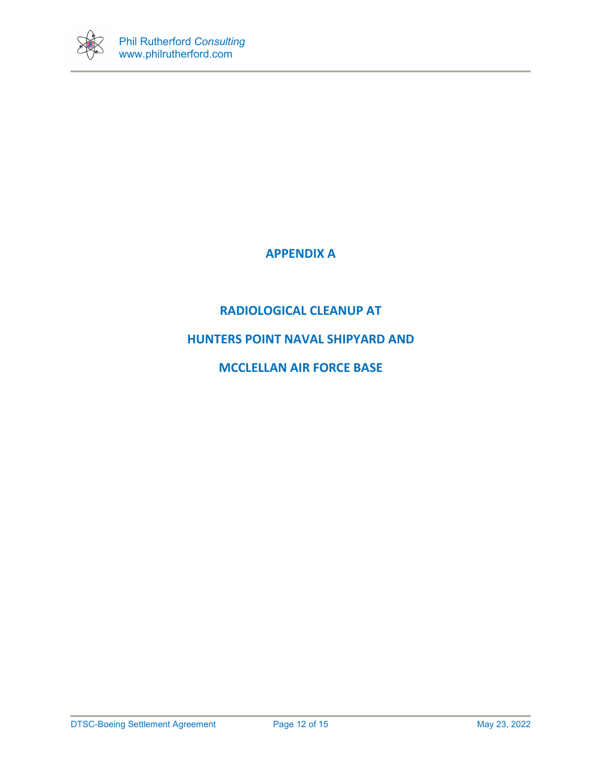

# **APPENDIX A**

# **RADIOLOGICAL CLEANUP AT**

# **HUNTERS POINT NAVAL SHIPYARD AND**

# **MCCLELLAN AIR FORCE BASE**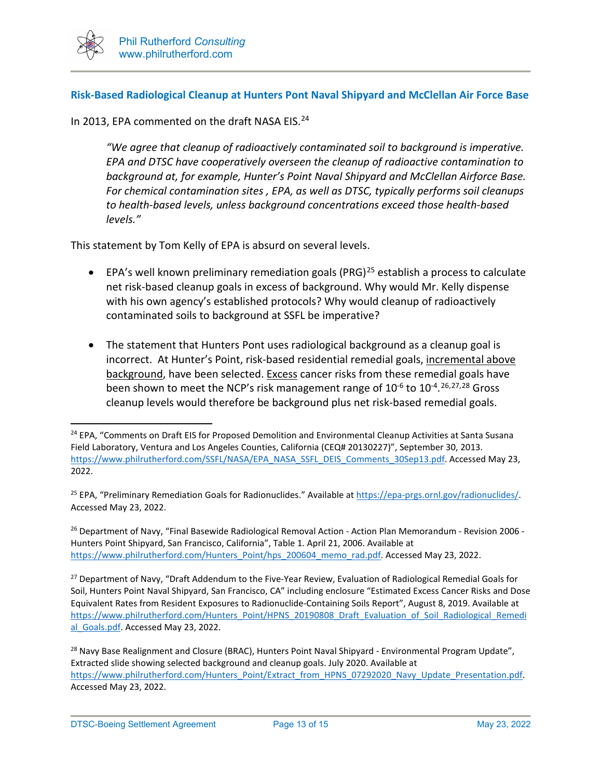

## **Risk-Based Radiological Cleanup at Hunters Pont Naval Shipyard and McClellan Air Force Base**

In 2013, EPA commented on the draft NASA EIS.<sup>24</sup>

*"We agree that cleanup of radioactively contaminated soil to background is imperative. EPA and DTSC have cooperatively overseen the cleanup of radioactive contamination to background at, for example, Hunter's Point Naval Shipyard and McClellan Airforce Base. For chemical contamination sites , EPA, as well as DTSC, typically performs soil cleanups to health-based levels, unless background concentrations exceed those health-based levels."*

This statement by Tom Kelly of EPA is absurd on several levels.

- EPA's well known preliminary remediation goals (PRG)<sup>[25](#page-12-1)</sup> establish a process to calculate net risk-based cleanup goals in excess of background. Why would Mr. Kelly dispense with his own agency's established protocols? Why would cleanup of radioactively contaminated soils to background at SSFL be imperative?
- The statement that Hunters Pont uses radiological background as a cleanup goal is incorrect. At Hunter's Point, risk-based residential remedial goals, incremental above background, have been selected. Excess cancer risks from these remedial goals have been shown to meet the NCP's risk management range of 10<sup>-6</sup> to 10<sup>-4</sup>.<sup>[26,](#page-12-2)[27](#page-12-3),[28](#page-12-4)</sup> Gross cleanup levels would therefore be background plus net risk-based remedial goals.

<span id="page-12-2"></span><sup>26</sup> Department of Navy, "Final Basewide Radiological Removal Action - Action Plan Memorandum - Revision 2006 -Hunters Point Shipyard, San Francisco, California", Table 1. April 21, 2006. Available at [https://www.philrutherford.com/Hunters\\_Point/hps\\_200604\\_memo\\_rad.pdf.](https://www.philrutherford.com/Hunters_Point/hps_200604_memo_rad.pdf) Accessed May 23, 2022.

<span id="page-12-3"></span><sup>27</sup> Department of Navy, "Draft Addendum to the Five-Year Review, Evaluation of Radiological Remedial Goals for Soil, Hunters Point Naval Shipyard, San Francisco, CA" including enclosure "Estimated Excess Cancer Risks and Dose Equivalent Rates from Resident Exposures to Radionuclide-Containing Soils Report", August 8, 2019. Available at [https://www.philrutherford.com/Hunters\\_Point/HPNS\\_20190808\\_Draft\\_Evaluation\\_of\\_Soil\\_Radiological\\_Remedi](https://www.philrutherford.com/Hunters_Point/HPNS_20190808_Draft_Evaluation_of_Soil_Radiological_Remedial_Goals.pdf) [al\\_Goals.pdf.](https://www.philrutherford.com/Hunters_Point/HPNS_20190808_Draft_Evaluation_of_Soil_Radiological_Remedial_Goals.pdf) Accessed May 23, 2022.

<span id="page-12-0"></span><sup>&</sup>lt;sup>24</sup> EPA, "Comments on Draft EIS for Proposed Demolition and Environmental Cleanup Activities at Santa Susana Field Laboratory, Ventura and Los Angeles Counties, California (CEQ# 20130227)", September 30, 2013. [https://www.philrutherford.com/SSFL/NASA/EPA\\_NASA\\_SSFL\\_DEIS\\_Comments\\_30Sep13.pdf.](https://www.philrutherford.com/SSFL/NASA/EPA_NASA_SSFL_DEIS_Comments_30Sep13.pdf) Accessed May 23, 2022.

<span id="page-12-1"></span><sup>25</sup> EPA, "Preliminary Remediation Goals for Radionuclides." Available a[t https://epa-prgs.ornl.gov/radionuclides/.](https://epa-prgs.ornl.gov/radionuclides/) Accessed May 23, 2022.

<span id="page-12-4"></span><sup>&</sup>lt;sup>28</sup> Navy Base Realignment and Closure (BRAC), Hunters Point Naval Shipyard - Environmental Program Update", Extracted slide showing selected background and cleanup goals. July 2020. Available at https://www.philrutherford.com/Hunters\_Point/Extract\_from\_HPNS\_07292020\_Navy\_Update\_Presentation.pdf Accessed May 23, 2022.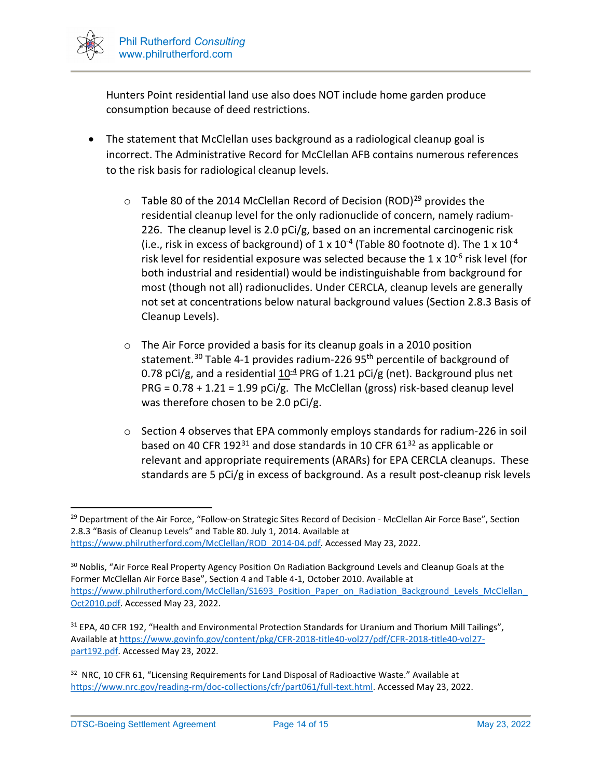

Hunters Point residential land use also does NOT include home garden produce consumption because of deed restrictions.

- The statement that McClellan uses background as a radiological cleanup goal is incorrect. The Administrative Record for McClellan AFB contains numerous references to the risk basis for radiological cleanup levels.
	- $\circ$  Table 80 of the 2014 McClellan Record of Decision (ROD)<sup>[29](#page-13-0)</sup> provides the residential cleanup level for the only radionuclide of concern, namely radium-226. The cleanup level is 2.0 pCi/g, based on an incremental carcinogenic risk (i.e., risk in excess of background) of  $1 \times 10^{-4}$  (Table 80 footnote d). The  $1 \times 10^{-4}$ risk level for residential exposure was selected because the  $1 \times 10^{-6}$  risk level (for both industrial and residential) would be indistinguishable from background for most (though not all) radionuclides. Under CERCLA, cleanup levels are generally not set at concentrations below natural background values (Section 2.8.3 Basis of Cleanup Levels).
	- o The Air Force provided a basis for its cleanup goals in a 2010 position statement.<sup>[30](#page-13-1)</sup> Table 4-1 provides radium-226 95<sup>th</sup> percentile of background of 0.78 pCi/g, and a residential  $10<sup>-4</sup>$  PRG of 1.21 pCi/g (net). Background plus net PRG = 0.78 + 1.21 = 1.99 pCi/g. The McClellan (gross) risk-based cleanup level was therefore chosen to be 2.0 pCi/g.
	- o Section 4 observes that EPA commonly employs standards for radium-226 in soil based on 40 CFR 192 $31$  and dose standards in 10 CFR 61 $32$  as applicable or relevant and appropriate requirements (ARARs) for EPA CERCLA cleanups. These standards are 5 pCi/g in excess of background. As a result post-cleanup risk levels

<span id="page-13-0"></span><sup>&</sup>lt;sup>29</sup> Department of the Air Force, "Follow-on Strategic Sites Record of Decision - McClellan Air Force Base", Section 2.8.3 "Basis of Cleanup Levels" and Table 80. July 1, 2014. Available at [https://www.philrutherford.com/McClellan/ROD\\_2014-04.pdf.](https://www.philrutherford.com/McClellan/ROD_2014-04.pdf) Accessed May 23, 2022.

<span id="page-13-1"></span><sup>&</sup>lt;sup>30</sup> Noblis, "Air Force Real Property Agency Position On Radiation Background Levels and Cleanup Goals at the Former McClellan Air Force Base", Section 4 and Table 4-1, October 2010. Available at https://www.philrutherford.com/McClellan/S1693 Position Paper on Radiation Background Levels McClellan [Oct2010.pdf.](https://www.philrutherford.com/McClellan/S1693_Position_Paper_on_Radiation_Background_Levels_McClellan_Oct2010.pdf) Accessed May 23, 2022.

<span id="page-13-2"></span><sup>&</sup>lt;sup>31</sup> EPA, 40 CFR 192, "Health and Environmental Protection Standards for Uranium and Thorium Mill Tailings", Available a[t https://www.govinfo.gov/content/pkg/CFR-2018-title40-vol27/pdf/CFR-2018-title40-vol27](https://www.govinfo.gov/content/pkg/CFR-2018-title40-vol27/pdf/CFR-2018-title40-vol27-part192.pdf) [part192.pdf.](https://www.govinfo.gov/content/pkg/CFR-2018-title40-vol27/pdf/CFR-2018-title40-vol27-part192.pdf) Accessed May 23, 2022.

<span id="page-13-3"></span><sup>&</sup>lt;sup>32</sup> NRC, 10 CFR 61, "Licensing Requirements for Land Disposal of Radioactive Waste." Available at [https://www.nrc.gov/reading-rm/doc-collections/cfr/part061/full-text.html.](https://www.nrc.gov/reading-rm/doc-collections/cfr/part061/full-text.html) Accessed May 23, 2022.